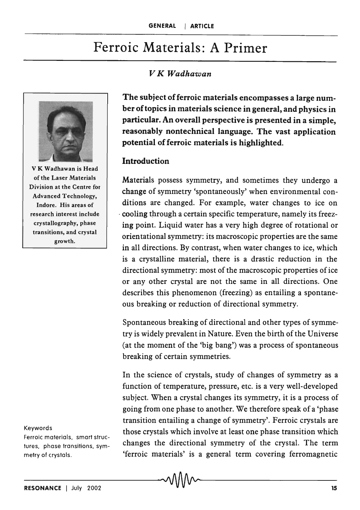# Ferroic Materials: A Primer

#### *V K Wadhawan*



V K Wadhawan is Head of the Laser Materials Division at the Centre for Advanced Technology, Indore. His areas of research interest include crystallography, phase transitions, and crystal growth.

#### Keywords

Ferroic materials, smart structures, phase transitions, symmetry of crystals.

The subject of ferroic materials encompasses a large number of topics in materials science in general, and physics in particular. An overall perspective is presented in a simple, reasonably nontechnical language. The vast application potential of ferroic materials is highlighted.

#### **Introduction**

Materials possess symmetry, and sometimes they undergo a change of symmetry 'spontaneously' when environmental conditions are changed. For example, water changes to ice on . cooling through a certain specific temperature, namely its freezing point. Liquid water has a very high degree of rotational or orientational symmetry: its macroscopic properties are the same in all directions. By contrast, when water changes to ice, which is a crystalline material, there is a drastic reduction in the directional symmetry: most of the macroscopic properties of ice or any other crystal are not the same in all directions. One describes this phenomenon (freezing) as entailing a spontaneous breaking or reduction of directional symmetry.

Spontaneous breaking of directional and other types of symmetry is widely prevalent in Nature. Even the birth of the Universe (at the moment of the 'big bang') was a process of spontaneous breaking of certain symmetries.

In the science of crystals, study of changes of symmetry as a function of temperature, pressure, etc. is a very well-developed subject. When a crystal changes its symmetry, it is a process of going from one phase to another. We therefore speak of a 'phase transition entailing a change of symmetry'. Ferroic crystals are those crystals which involve at least one phase transition which changes the directional symmetry of the crystal. The term 'ferroic materials' is a general term covering ferromagnetic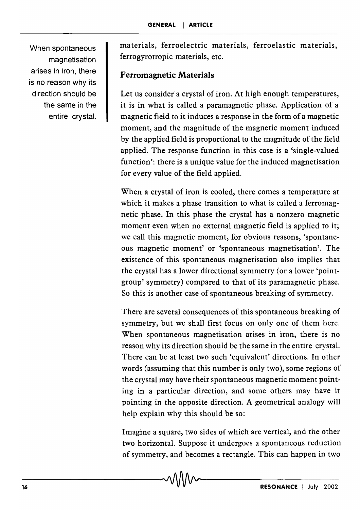When spontaneous magnetisation arises in iron, there is no reason why its direction should be the same in the entire crystal.

materials, ferroelectric materials, ferroelastic materials, ferrogyrotropic materials, etc.

## **Ferromagnetic Materials**

Let us consider a crystal of iron. At high enough temperatures, it is in what is called a paramagnetic phase. Application of a magnetic field to it induces a response in the form of a magnetic moment, and the magnitude of the magnetic moment induced by the applied field is proportional to the magnitude of the field applied. The response function in this case is a 'single-valued function': there is a unique value for the induced magnetisation for every value of the field applied.

When a crystal of iron is cooled, there comes a temperature at which it makes a phase transition to what is called a ferromagnetic phase. In this phase the crystal has a nonzero magnetic moment even when no external magnetic field is applied to it; we call this magnetic moment, for obvious reasons, 'spontaneous magnetic moment' or 'spontaneous magnetisation'. The existence of this spontaneous magnetisation also implies that the crystal has a lower directional symmetry (or a lower 'pointgroup' symmetry) compared to that of its paramagnetic phase. So this is another case of spontaneous breaking of symmetry.

There are several consequences of this spontaneous breaking of symmetry, but we shall first focus on only one of them here. When spontaneous magnetisation arises in iron, there is no reason why its direction should be the same in the entire crystal. There can be at least two such 'equivalent' directions. In other words (assuming that this number is only two), some regions of the crystal may have their spontaneous magnetic moment pointing in a particular direction, and some others may have it pointing in the opposite direction. A geometrical analogy will help explain why this should be so:

Imagine a square, two sides of which are vertical, and the other two horizontal. Suppose it undergoes a spontaneous reduction of symmetry, and becomes a rectangle. This can happen in two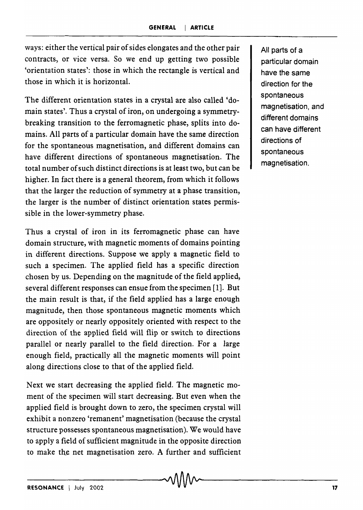ways: either the vertical pair of sides elongates and the other pair contracts, or vice versa. So we end up getting two possible 'orientation states': those in which the rectangle is vertical and those in which it is horizontal.

The different orientation states in a crystal are also called 'domain states'. Thus a crystal of iron, on undergoing a symmetrybreaking transition to the ferromagnetic phase, splits into domains. All parts of a particular domain have the same direction for the spontaneous magnetisation, and different domains can have different directions of spontaneous magnetisation. The total number of such distinct directions is at least two, but can be higher. In fact there is a general theorem, from which it follows that the larger the reduction of symmetry at a phase transition, the larger is the number of distinct orientation states permissible in the lower-symmetry phase.

Thus a crystal of iron in its ferromagnetic phase can have domain structure, with magnetic moments of domains pointing in different directions. Suppose we apply a magnetic field to such a specimen. The applied field has a specific direction chosen by us. Depending on the magnitude of the field applied, several different responses can ensue from the specimen [1]. But the main result is that, if the field applied has a large enough magnitude, then those spontaneous magnetic moments which are oppositely or nearly oppositely oriented with respect to the direction of the applied field will flip or switch to directions parallel or nearly parallel to the field direction. For a large enough field, practically all the magnetic moments will point along directions close to that of the applied field.

Next we start decreasing the applied field. The magnetic moment of the specimen will start decreasing. But even when the applied field is brought down to zero, the specimen crystal will exhibit a nonzero 'remanent' magnetisation (because the crystal structure possesses spontaneous magnetisation). We would have to apply a field of sufficient magnitude in the opposite direction to make the net magnetisation zero. A further and sufficient

All parts of a particular domain have the same direction for the spontaneous magnetisation, and different domains can have different directions of spontaneous magnetisation.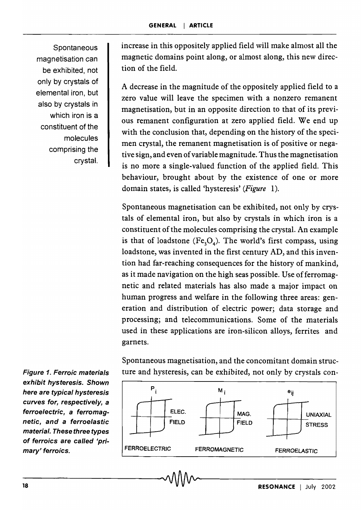**Spontaneous** magnetisation can be exhibited, not only by crystals of elemental iron, but also by crystals in which iron is a constituent of the molecules comprising the crystal.

increase in this oppositely applied field will make almost all the magnetic domains point along, or almost along, this new direction of the field.

A decrease in the magnitude of the oppositely applied field to a zero value will leave the specimen with a nonzero remanent magnetisation, but in an opposite direction to that of its previous remanent configuration at zero applied field. We end up with the conclusion that, depending on the history of the specimen crystal, the remanent magnetisation is of positive or negative sign, and even of variable magnitude. Thus the magnetisation is no more a single-valued function of the applied field. This behaviour, brought about by the existence of one or more domain states, is called 'hysteresis' *(Figure* 1).

Spontaneous magnetisation can be exhibited, not only by crystals of elemental iron, but also by crystals in which iron is a constituent of the molecules comprising the crystal. An example is that of loadstone ( $Fe<sub>3</sub>O<sub>4</sub>$ ). The world's first compass, using loadstone, was invented in the first century AD, and this invention had far-reaching consequences for the history of mankind, as it made navigation on the high seas possible. Use of ferromagnetic and related materials has also made a major impact on human progress and welfare in the following three areas: generation and distribution of electric power; data storage and processing; and telecommunications. Some of the materials used in these applications are iron-silicon alloys, ferrites and garnets.

Spontaneous magnetisation, and the concomitant domain structure and hysteresis, can be exhibited, not only by crystals con-



Figure 1. Ferroic materials exhibit hysteresis. Shown here are typical hysteresis curves for, respectively, a ferroelectric, a ferromagnetic, and a ferroelastic material. These three types of ferroics are called 'primary' ferroics.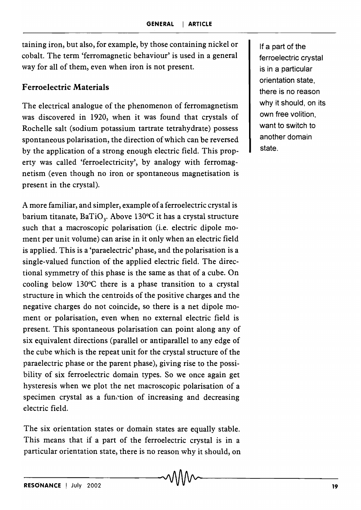taining iron, but also, for example, by those containing nickel or cobalt. The term 'ferromagnetic behaviour' is used in a general way for all of them, even when iron is not present.

### **Ferroelectric Materials**

The electrical analogue of the phenomenon of ferromagnetism was discovered in 1920, when it was found that crystals of Rochelle salt (sodium potassium tartrate tetrahydrate) possess spontaneous polarisation, the direction of which can be reversed by the application of a strong enough electric field. This property was called 'ferroelectricity', by analogy with ferromagnetism (even though no iron or spontaneous magnetisation is present in the crystal).

A more familiar, and simpler, example of a ferroelectric crystal is barium titanate, Ba $TiO<sub>3</sub>$ . Above 130°C it has a crystal structure such that a macroscopic polarisation (i.e. electric dipole moment per unit volume) can arise in it only when an electric field is applied. This is a 'paraelectric' phase, and the polarisation is a single-valued function of the applied electric field. The directional symmetry of this phase is the same as that of a cube. On cooling below 130°C there is a phase transition to a crystal structure in which the centroids of the positive charges and the negative charges do not coincide, so there is a net dipole moment or polarisation, even when no external electric field is present. This spontaneous polarisation can point along any of six equivalent directions (parallel or antiparallel to any edge of the cube which is the repeat unit for the crystal structure of the paraelectric phase or the parent phase), giving rise to the possibility of six ferroelectric domain types. So we once again get hysteresis when we plot the net macroscopic polarisation of a specimen crystal as a function of increasing and decreasing electric field.

The six orientation states or domain states are equally stable. This means that if a part of the ferroelectric crystal is in a particular orientation state, there is no reason why it should, on If a part of the ferroelectric crystal is in a particular orientation state, there is no reason why it should, on its own free volition, want to switch to another domain state.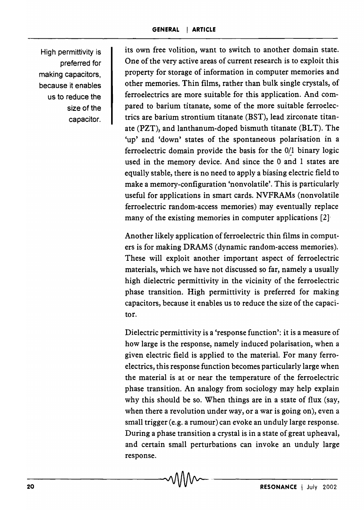High permittivity is preferred for making capacitors, because it enables us to reduce the size of the capacitor.

its own free volition, want to switch to another domain state. One of the very active areas of current research is to exploit this property for storage of information in computer memories and other memories. Thin films, rather than bulk single crystals, of ferroelectrics are more suitable for this application. And compared to barium titanate, some of the more suitable ferroelectrics are barium strontium titanate (BST), lead zirconate titanate (PZT), and lanthanum-doped bismuth titanate (BLT). The 'up' and 'down' states of the spontaneous polarisation in a ferroelectric domain provide the basis for the 0/1 binary logic used in the memory device. And since the 0 and 1 states are equally stable, there is no need to apply a biasing electric field to make a memory-configuration 'nonvolatile'. This is particularly useful for applications in smart cards. NVFRAMs (nonvolatile ferroelectric random-access memories) may eventually replace many of the existing memories in computer applications [2]

Another likely application of ferroelectric thin films in computers is for making DRAMS (dynamic random-access memories). These will exploit another important aspect of ferroelectric materials, which we have not discussed so far, namely a usually high dielectric permittivity in the vicinity of the ferroelectric phase transition. High permittivity is preferred for making capacitors, because it enables us to reduce the size of the capacitor.

Dielectric permittivity is a 'response function': it is a measure of how large is the response, namely induced polarisation, when a given electric field is applied to the material. For many ferroelectrics, this response function becomes particularly large when the material is at or near the temperature of the ferroelectric phase transition. An analogy from sociology may help explain why this should be so. When things are in a state of flux (say, when there a revolution under way, or a war is going on), even a small trigger (e.g. a rumour) can evoke an unduly large response. During a phase transition a crystal is in a state of great upheaval, and certain small perturbations can invoke an unduly large response.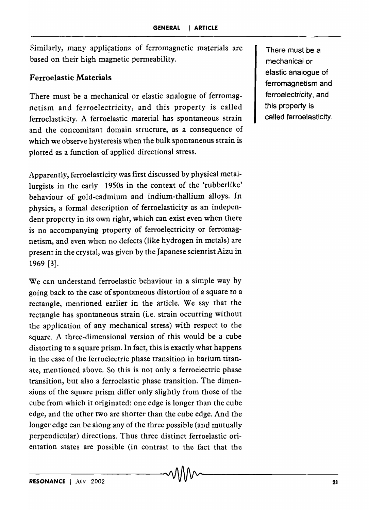Similarly, many applications of ferromagnetic materials are based on their high magnetic permeability.

### **Ferroelastic Materials**

There must be a mechanical or elastic analogue of ferromagnetism and ferroelectricity, and this property is called ferroelasticity. A ferroelastic material has spontaneous strain and the concomitant domain structure, as a consequence of which we observe hysteresis when the bulk spontaneous strain is plotted as a function of applied directional stress.

Apparently, ferroelasticity was first discussed by physical metallurgists in the early 1950s in the context of the 'rubberlike' behaviour of gold-cadmium and indium-thallium alloys. In physics, a formal description of ferroelasticity as an independent property in its own right, which can exist even when there is no accompanying property of ferroelectricity or ferromagnetism, and even when no defects (like hydrogen in metals) are present in the crystal, was given by the Japanese scientist Aizu in 1969 [3].

We can understand ferroelastic behaviour in a simple way by going back to the case of spontaneous distortion of a square to a rectangle, mentioned earlier in the article. We say that the rectangle has spontaneous strain (i.e. strain occurring without the application of any mechanical stress) with respect to the square. A three-dimensional version of this would be a cube distorting to a square prism. In fact, this is exactly what happens in the case of the ferroelectric phase transition in barium titanate, mentioned above. So this is not only a ferroelectric phase transition, but also a ferroelastic phase transition. The dimensions of the square prism differ only slightly from those of the cube from which it originated: one edge is longer than the cube edge, and the other two are shorter than the cube edge. And the longer edge can be along any of the three possible (and mutually perpendicular) directions. Thus three distinct ferroelastic orientation states are possible (in contrast to the fact that the  $\sim$   $\sqrt{M}$   $\sim$   $\sim$   $\sim$   $\sqrt{M}$   $\sim$  21

There must be a mechanical or elastic analogue of ferromagnetism and ferroelectricity, and this property is called ferroelasticity.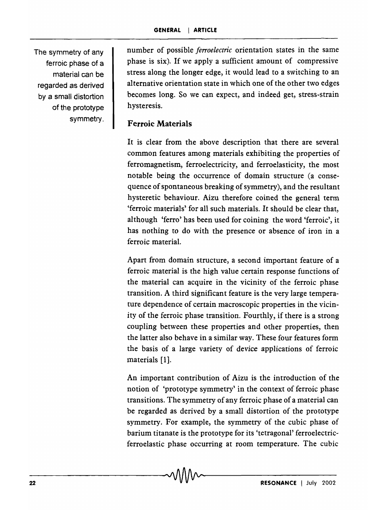The symmetry of any ferroic phase of a material can be regarded as derived by a small distortion of the prototype symmetry. number of possible *ferroelectric* orientation states in the same phase is six). If we apply a sufficient amount of compressive stress along the longer edge, it would lead to a switching to an alternative orientation state in which one of the other two edges becomes long. So we can expect, and indeed get, stress-strain hysteresis.

#### **Ferroic Materials**

It is clear from the above description that there are several common features among materials exhibiting the properties of ferromagnetism, ferroelectricity, and ferroelasticity, the most notable being the occurrence of domain structure (a consequence of spontaneous breaking of symmetry), and the resultant hysteretic behaviour. Aizu therefore coined the general term 'ferroic materials' for all such materials. It should be clear that, although 'ferro' has been used for coining the word 'ferroic', it has nothing to do with the presence or absence of iron in a ferroic material.

Apart from domain structure, a second important feature of a ferroic material is the high value certain response functions of the material can acquire in the vicinity of the ferroic phase transition. A third significant feature is the very large temperature dependence of certain macroscopic properties in the vicinity of the ferroic phase transition. Fourthly, if there is a strong coupling between these properties and other properties, then the latter also behave in a similar way. These four features form the basis of a large variety of device applications of ferroic materials [1].

An important contribution of Aizu is the introduction of the notion of 'prototype symmetry' in the context of ferroic phase transitions. The symmetry of any ferroic phase of a material can be regarded as derived by a small distortion of the prototype symmetry. For example, the symmetry of the cubic phase of barium titanate is the prototype for its 'tetragonal' ferroelectricferroelastic phase occurring at room temperature. The cubic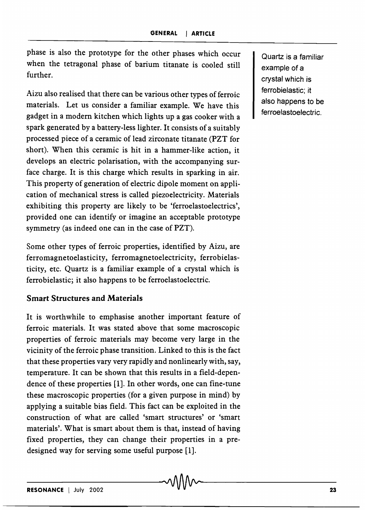phase is also the prototype for the other phases which occur when the tetragonal phase of barium titanate is cooled still further.

Aizu also realised that there can be various other types of ferroic materials. Let us consider a familiar example. We have this gadget in a modern kitchen which lights up a gas cooker with a spark generated by a battery-less lighter. It consists of a suitably processed piece of a ceramic of lead zirconate titanate (PZT for short). When this ceramic is hit in a hammer-like action, it develops an electric polarisation, with the accompanying surface charge. It is this charge which results in sparking in air. This property of generation of electric dipole moment on application of mechanical stress is called piezoelectricity. Materials exhibiting this property are likely to be 'ferroelastoelectrics', provided one can identify or imagine an acceptable prototype symmetry (as indeed one can in the case of PZT).

Some other types of ferroic properties, identified by Aizu, are ferromagnetoelasticity, ferromagnetoelectricity, ferrobielasticity, etc. Quartz is a familiar example of a crystal which is ferrobielastic; it also happens to be ferroelastoelectric.

### Smart Structures and Materials

It is worthwhile to emphasise another important feature of ferroic materials. It was stated above that some macroscopic properties of ferroic materials may become very large in the vicinity of the ferroic phase transition. Linked to this is the fact that these properties vary very rapidly and nonlinearly with, say, temperature. It can be shown that this results in a field-dependence of these properties [1]. In other words, one can fine-tune these macroscopic properties (for a given purpose in mind) by applying a suitable bias field. This fact can be exploited in the construction of what are called 'smart structures' or 'smart materials'. What is smart about them is that, instead of having fixed properties, they can change their properties in a predesigned way for serving some useful purpose [1].

Quartz is a familiar example of a crystal which is ferrobielastic; it also happens to be ferroelastoelectric.